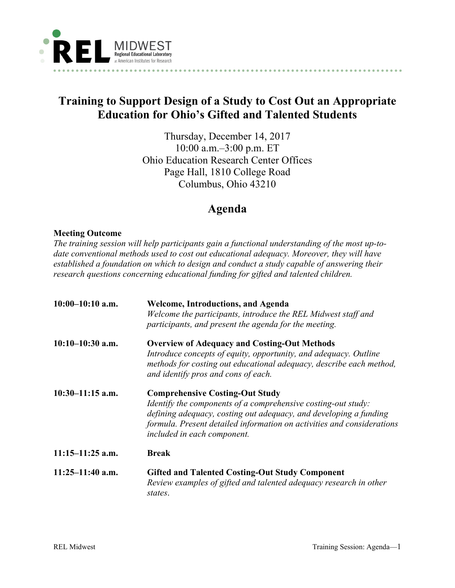

## **Training to Support Design of a Study to Cost Out an Appropriate Education for Ohio's Gifted and Talented Students**

Thursday, December 14, 2017 10:00 a.m.–3:00 p.m. ET Ohio Education Research Center Offices Page Hall, 1810 College Road Columbus, Ohio 43210

## **Agenda**

## **Meeting Outcome**

*The training session will help participants gain a functional understanding of the most up-todate conventional methods used to cost out educational adequacy. Moreover, they will have established a foundation on which to design and conduct a study capable of answering their research questions concerning educational funding for gifted and talented children.* 

| $10:00-10:10$ a.m. | <b>Welcome, Introductions, and Agenda</b><br>Welcome the participants, introduce the REL Midwest staff and<br>participants, and present the agenda for the meeting.                                                                                                                   |
|--------------------|---------------------------------------------------------------------------------------------------------------------------------------------------------------------------------------------------------------------------------------------------------------------------------------|
| $10:10-10:30$ a.m. | <b>Overview of Adequacy and Costing-Out Methods</b><br>Introduce concepts of equity, opportunity, and adequacy. Outline<br>methods for costing out educational adequacy, describe each method,<br>and identify pros and cons of each.                                                 |
| $10:30-11:15$ a.m. | <b>Comprehensive Costing-Out Study</b><br>Identify the components of a comprehensive costing-out study:<br>defining adequacy, costing out adequacy, and developing a funding<br>formula. Present detailed information on activities and considerations<br>included in each component. |
| $11:15-11:25$ a.m. | <b>Break</b>                                                                                                                                                                                                                                                                          |
| $11:25-11:40$ a.m. | <b>Gifted and Talented Costing-Out Study Component</b><br>Review examples of gifted and talented adequacy research in other<br>states.                                                                                                                                                |